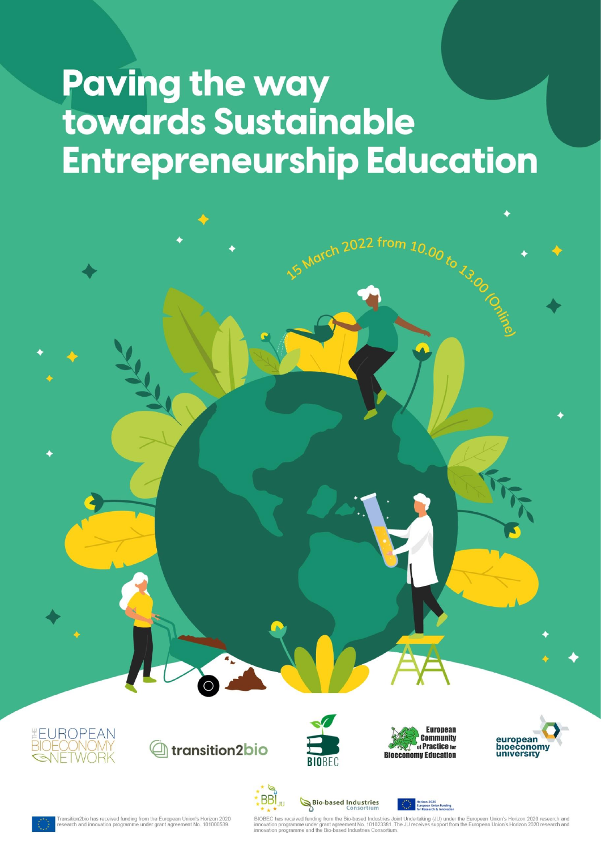# **Paving the way** towards Sustainable **Entrepreneurship Education**







Bio-based Industries

**BBI** 

**JU** 



Morch 2022 from 10.00 to 13.00 ro



ansition2bio has received funding from the European Union's Horizon 2020<br>search and innovation programme under grant agreement No. 101000539.

BIOBEC has received funding from the Bio-based Industries Joint Undertaking (JU) under the European Union's Horizon 2020 research and innovation programme under grant agreement No. 101023381. The JU receives support from t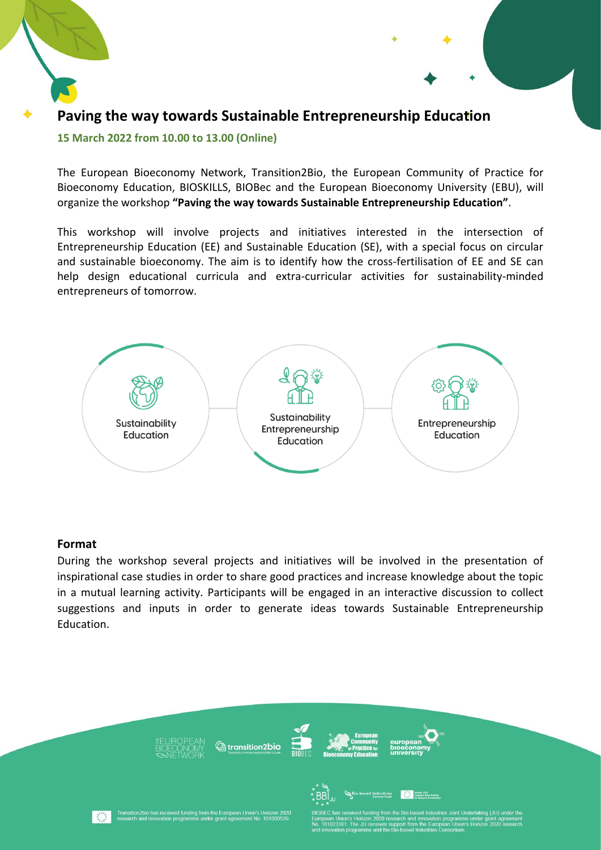

#### **15 March 2022 from 10.00 to 13.00 (Online)**

The European Bioeconomy Network, Transition2Bio, the European Community of Practice for Bioeconomy Education, BIOSKILLS, BIOBec and the European Bioeconomy University (EBU), will organize the workshop **"Paving the way towards Sustainable Entrepreneurship Education"**.

This workshop will involve projects and initiatives interested in the intersection of Entrepreneurship Education (EE) and Sustainable Education (SE), with a special focus on circular and sustainable bioeconomy. The aim is to identify how the cross-fertilisation of EE and SE can help design educational curricula and extra-curricular activities for sustainability-minded entrepreneurs of tomorrow.



#### **Format**

During the workshop several projects and initiatives will be involved in the presentation of inspirational case studies in order to share good practices and increase knowledge about the topic in a mutual learning activity. Participants will be engaged in an interactive discussion to collect suggestions and inputs in order to generate ideas towards Sustainable Entrepreneurship Education.

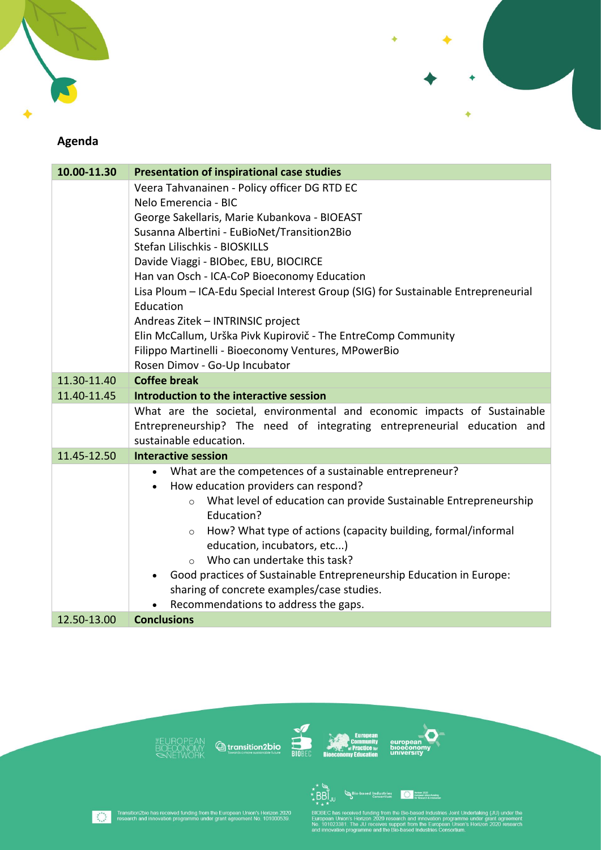



# Agenda

| 10.00-11.30 | <b>Presentation of inspirational case studies</b>                                         |
|-------------|-------------------------------------------------------------------------------------------|
|             | Veera Tahvanainen - Policy officer DG RTD EC                                              |
|             | Nelo Emerencia - BIC                                                                      |
|             | George Sakellaris, Marie Kubankova - BIOEAST                                              |
|             | Susanna Albertini - EuBioNet/Transition2Bio                                               |
|             | Stefan Lilischkis - BIOSKILLS                                                             |
|             | Davide Viaggi - BIObec, EBU, BIOCIRCE                                                     |
|             | Han van Osch - ICA-CoP Bioeconomy Education                                               |
|             | Lisa Ploum - ICA-Edu Special Interest Group (SIG) for Sustainable Entrepreneurial         |
|             | Education                                                                                 |
|             | Andreas Zitek - INTRINSIC project                                                         |
|             | Elin McCallum, Urška Pivk Kupirovič - The EntreComp Community                             |
|             | Filippo Martinelli - Bioeconomy Ventures, MPowerBio                                       |
|             | Rosen Dimov - Go-Up Incubator                                                             |
| 11.30-11.40 | <b>Coffee break</b>                                                                       |
| 11.40-11.45 | Introduction to the interactive session                                                   |
|             | What are the societal, environmental and economic impacts of Sustainable                  |
|             | Entrepreneurship? The need of integrating entrepreneurial education and                   |
|             | sustainable education.                                                                    |
| 11.45-12.50 | <b>Interactive session</b>                                                                |
|             | What are the competences of a sustainable entrepreneur?<br>$\bullet$                      |
|             | How education providers can respond?<br>$\bullet$                                         |
|             | What level of education can provide Sustainable Entrepreneurship<br>$\circ$<br>Education? |
|             | How? What type of actions (capacity building, formal/informal<br>$\circ$                  |
|             | education, incubators, etc)                                                               |
|             | Who can undertake this task?<br>$\Omega$                                                  |
|             | Good practices of Sustainable Entrepreneurship Education in Europe:                       |
|             | sharing of concrete examples/case studies.                                                |
|             | Recommendations to address the gaps.                                                      |
| 12.50-13.00 | <b>Conclusions</b>                                                                        |











o ranamy from the Bio-based Industries Joint Undertaking (JU) under the<br>prizon 2020 research and innovation programme under grant agreement<br>JU receives support from the European Union's Horizon 2020 research<br>imme and the B